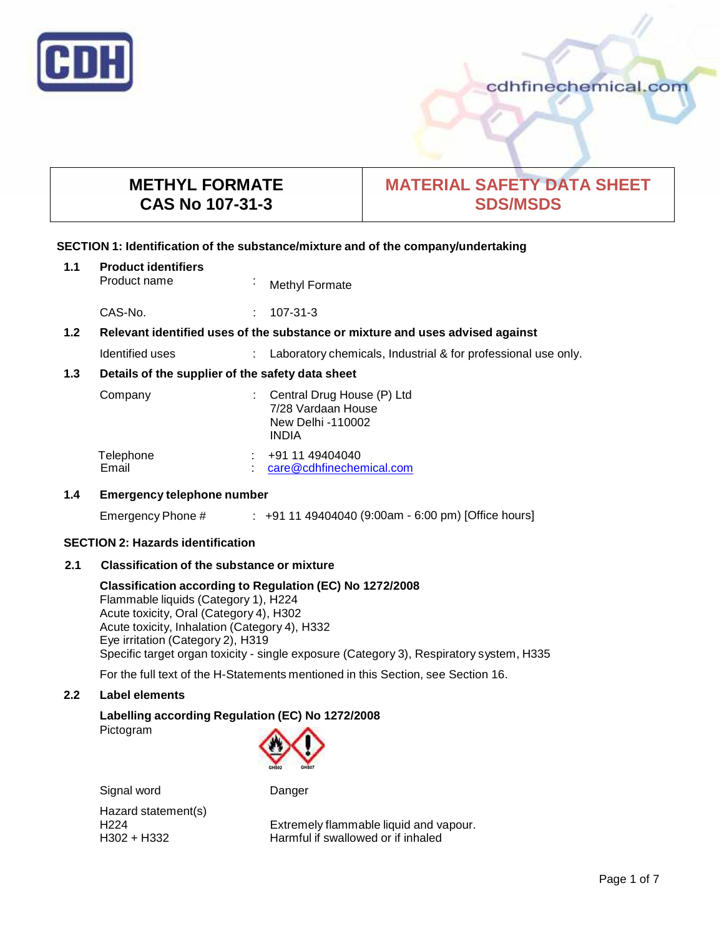

cdhfinechemical.com

# **METHYL FORMATE CAS No 107-31-3**

# **MATERIAL SAFETY DATA SHEET SDS/MSDS**

## **SECTION 1: Identification of the substance/mixture and of the company/undertaking**

#### **1.1 Product identifiers**

Product name : Methyl Formate

CAS-No. : 107-31-3

## **1.2 Relevant identified uses of the substance ormixture and uses advised against**

Identified uses : Laboratory chemicals, Industrial & for professional use only.

## **1.3 Details of the supplier of the safety data sheet**

| Company            | : Central Drug House $(P)$ Ltd<br>7/28 Vardaan House<br>New Delhi -110002<br><b>INDIA</b> |  |
|--------------------|-------------------------------------------------------------------------------------------|--|
| Telephone<br>Email | +91 11 49404040<br>care@cdhfinechemical.com                                               |  |

## **1.4 Emergency telephone number**

Emergency Phone # : +91 11 49404040 (9:00am - 6:00 pm) [Office hours]

## **SECTION 2: Hazards identification**

## **2.1 Classification of the substance ormixture**

**Classification according to Regulation (EC) No 1272/2008** Flammable liquids (Category 1), H224 Acute toxicity, Oral (Category 4), H302 Acute toxicity, Inhalation (Category 4), H332 Eye irritation (Category 2), H319 Specific target organ toxicity - single exposure (Category 3), Respiratory system, H335

For the full text of the H-Statements mentioned in this Section, see Section 16.

## **2.2 Label elements**

## **Labelling according Regulation (EC) No 1272/2008**

Pictogram



Signal word Danger

Hazard statement(s)

H224 **Extremely flammable liquid and vapour.**<br>
Harmful if swallowed or if inhaled<br>
Harmful if swallowed or if inhaled Harmful if swallowed or if inhaled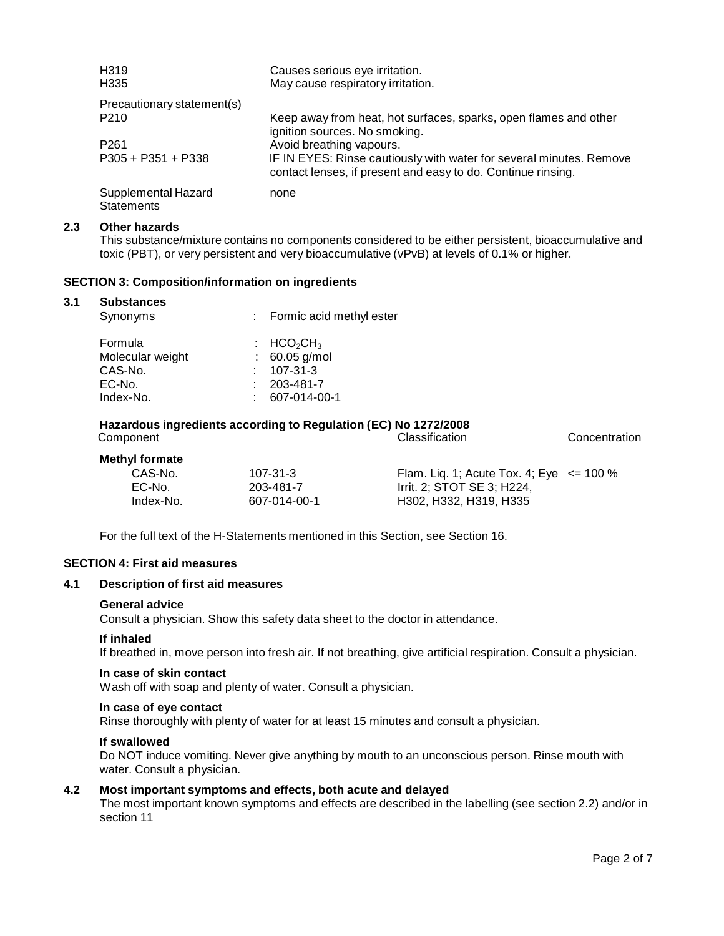| H <sub>3</sub> 19<br>H <sub>335</sub>    | Causes serious eye irritation.<br>May cause respiratory irritation.                                                                 |
|------------------------------------------|-------------------------------------------------------------------------------------------------------------------------------------|
| Precautionary statement(s)               |                                                                                                                                     |
| P <sub>210</sub>                         | Keep away from heat, hot surfaces, sparks, open flames and other<br>ignition sources. No smoking.                                   |
| P <sub>261</sub>                         | Avoid breathing vapours.                                                                                                            |
| $P305 + P351 + P338$                     | IF IN EYES: Rinse cautiously with water for several minutes. Remove<br>contact lenses, if present and easy to do. Continue rinsing. |
| Supplemental Hazard<br><b>Statements</b> | none                                                                                                                                |

#### **2.3 Other hazards**

This substance/mixture contains no components considered to be either persistent, bioaccumulative and toxic (PBT), or very persistent and very bioaccumulative (vPvB) at levels of 0.1% or higher.

## **SECTION 3: Composition/information on ingredients**

#### **3.1 Substances**

| Synonyms                                                      | : Formic acid methyl ester                                                                                      |
|---------------------------------------------------------------|-----------------------------------------------------------------------------------------------------------------|
| Formula<br>Molecular weight<br>CAS-No.<br>EC-No.<br>Index-No. | $\therefore$ HCO <sub>2</sub> CH <sub>3</sub><br>$: 60.05$ g/mol<br>$107 - 31 - 3$<br>203-481-7<br>607-014-00-1 |
|                                                               |                                                                                                                 |

# **Hazardous ingredients according to Regulation (EC) No 1272/2008**

| Component             |              | <b>Classification</b>                          | Concentration |
|-----------------------|--------------|------------------------------------------------|---------------|
| <b>Methyl formate</b> |              |                                                |               |
| CAS-No.               | 107-31-3     | Flam. Lig. 1; Acute Tox. 4; Eye $\leq$ = 100 % |               |
| EC-No.                | 203-481-7    | Irrit. 2: STOT SE 3: H224.                     |               |
| Index-No.             | 607-014-00-1 | H302, H332, H319, H335                         |               |

For the full text of the H-Statements mentioned in this Section, see Section 16.

#### **SECTION 4: First aid measures**

## **4.1 Description of first aid measures**

#### **General advice**

Consult a physician. Show this safety data sheet to the doctor in attendance.

#### **If inhaled**

If breathed in, move person into fresh air. If not breathing, give artificial respiration. Consult a physician.

#### **In case of skin contact**

Wash off with soap and plenty of water. Consult a physician.

#### **In case of eye contact**

Rinse thoroughly with plenty of water for at least 15 minutes and consult a physician.

#### **If swallowed**

Do NOT induce vomiting. Never give anything by mouth to an unconscious person. Rinse mouth with water. Consult a physician.

## **4.2 Most important symptoms and effects, both acute and delayed**

The most important known symptoms and effects are described in the labelling (see section 2.2) and/or in section 11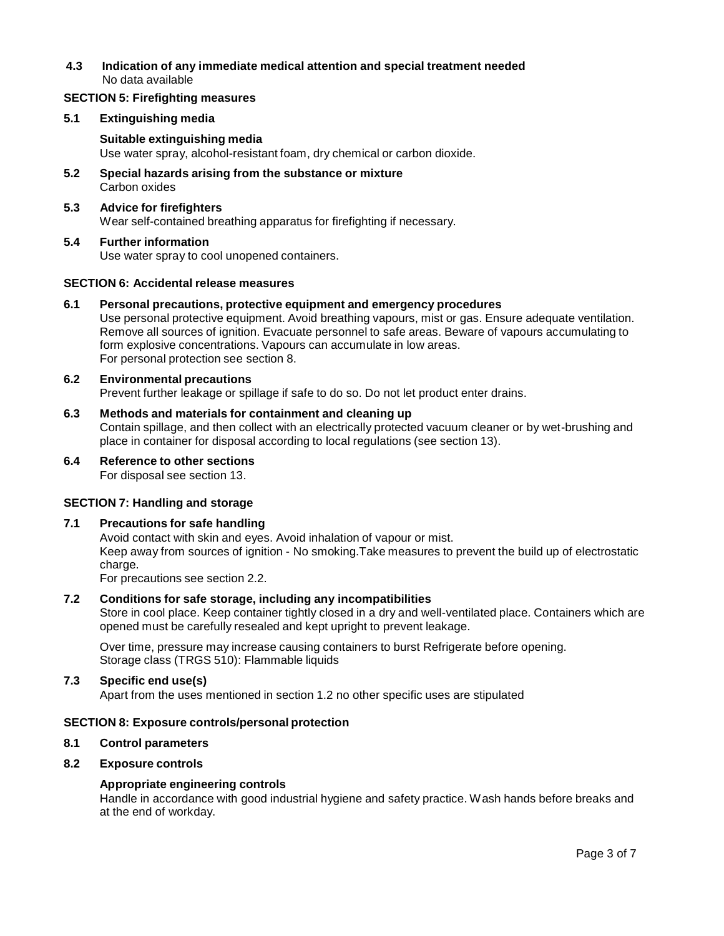## **4.3 Indication of any immediate medical attention and special treatment needed** No data available

#### **SECTION 5: Firefighting measures**

#### **5.1 Extinguishing media**

#### **Suitable extinguishing media** Use water spray, alcohol-resistant foam, dry chemical or carbon dioxide.

**5.2 Special hazards arising from the substance ormixture** Carbon oxides

# **5.3 Advice for firefighters**

Wear self-contained breathing apparatus for firefighting if necessary.

# **5.4 Further information**

Use water spray to cool unopened containers.

## **SECTION 6: Accidental release measures**

## **6.1 Personal precautions, protective equipment and emergency procedures**

Use personal protective equipment. Avoid breathing vapours, mist or gas. Ensure adequate ventilation. Remove all sources of ignition. Evacuate personnel to safe areas. Beware of vapours accumulating to form explosive concentrations. Vapours can accumulate in low areas. For personal protection see section 8.

## **6.2 Environmental precautions**

Prevent further leakage or spillage if safe to do so. Do not let product enter drains.

## **6.3 Methods and materials for containment and cleaning up**

Contain spillage, and then collect with an electrically protected vacuum cleaner or by wet-brushing and place in container for disposal according to local regulations (see section 13).

#### **6.4 Reference to other sections** For disposal see section 13.

## **SECTION 7: Handling and storage**

## **7.1 Precautions for safe handling**

Avoid contact with skin and eyes. Avoid inhalation of vapour or mist. Keep away from sources of ignition - No smoking.Take measures to prevent the build up of electrostatic charge.

For precautions see section 2.2.

## **7.2 Conditions for safe storage, including any incompatibilities**

Store in cool place. Keep container tightly closed in a dry and well-ventilated place. Containers which are opened must be carefully resealed and kept upright to prevent leakage.

Over time, pressure may increase causing containers to burst Refrigerate before opening. Storage class (TRGS 510): Flammable liquids

## **7.3 Specific end use(s)**

Apart from the uses mentioned in section 1.2 no other specific uses are stipulated

## **SECTION 8: Exposure controls/personal protection**

## **8.1 Control parameters**

## **8.2 Exposure controls**

## **Appropriate engineering controls**

Handle in accordance with good industrial hygiene and safety practice. Wash hands before breaks and at the end of workday.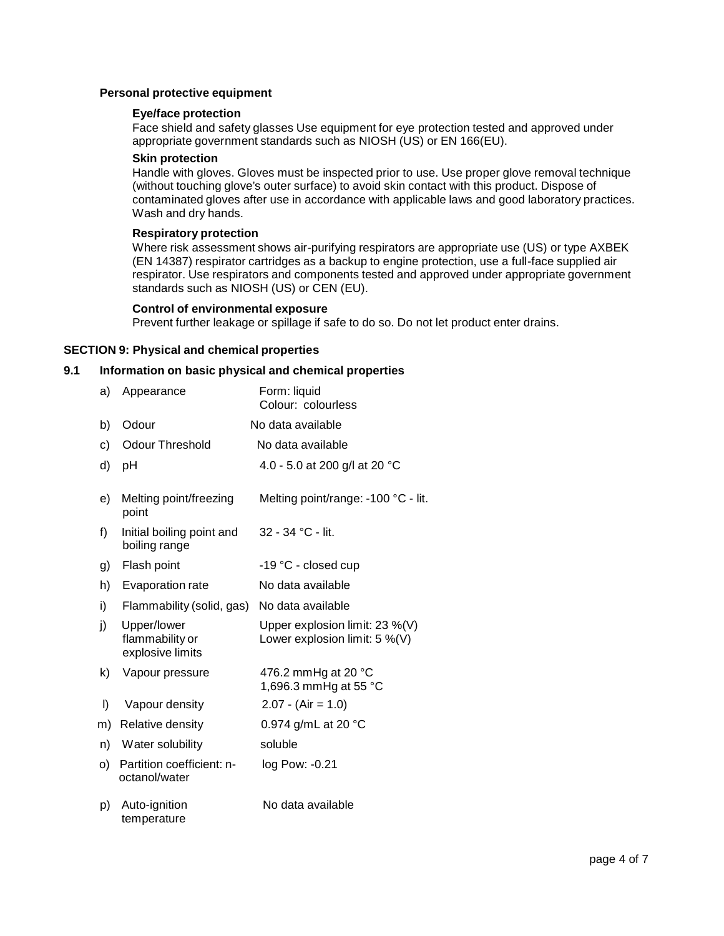#### **Personal protective equipment**

#### **Eye/face protection**

Face shield and safety glasses Use equipment for eye protection tested and approved under appropriate government standards such as NIOSH (US) or EN 166(EU).

## **Skin protection**

Handle with gloves. Gloves must be inspected prior to use. Use proper glove removal technique (without touching glove's outer surface) to avoid skin contact with this product. Dispose of contaminated gloves after use in accordance with applicable laws and good laboratory practices. Wash and dry hands.

#### **Respiratory protection**

Where risk assessment shows air-purifying respirators are appropriate use (US) or type AXBEK (EN 14387) respirator cartridges as a backup to engine protection, use a full-face supplied air respirator. Use respirators and components tested and approved under appropriate government standards such as NIOSH (US) or CEN (EU).

#### **Control of environmental exposure**

Prevent further leakage or spillage if safe to do so. Do not let product enter drains.

## **SECTION 9: Physical and chemical properties**

## **9.1 Information on basic physical and chemical properties**

| a) | Appearance                                         | Form: liquid<br>Colour: colourless                                 |
|----|----------------------------------------------------|--------------------------------------------------------------------|
| b) | Odour                                              | No data available                                                  |
| c) | <b>Odour Threshold</b>                             | No data available                                                  |
| d) | pH                                                 | 4.0 - 5.0 at 200 g/l at 20 °C                                      |
| e) | Melting point/freezing<br>point                    | Melting point/range: -100 °C - lit.                                |
| f) | Initial boiling point and<br>boiling range         | 32 - 34 °C - lit.                                                  |
| g) | Flash point                                        | -19 °C - closed cup                                                |
| h) | Evaporation rate                                   | No data available                                                  |
| i) | Flammability (solid, gas)                          | No data available                                                  |
| j) | Upper/lower<br>flammability or<br>explosive limits | Upper explosion limit: 23 %(V)<br>Lower explosion limit: $5\%$ (V) |
| k) | Vapour pressure                                    | 476.2 mmHg at 20 °C<br>1,696.3 mmHg at 55 °C                       |
| I) | Vapour density                                     | $2.07 - (Air = 1.0)$                                               |
| m) | Relative density                                   | 0.974 g/mL at 20 °C                                                |
| n) | Water solubility                                   | soluble                                                            |
| O) | Partition coefficient: n-<br>octanol/water         | log Pow: -0.21                                                     |
| p) | Auto-ignition<br>temperature                       | No data available                                                  |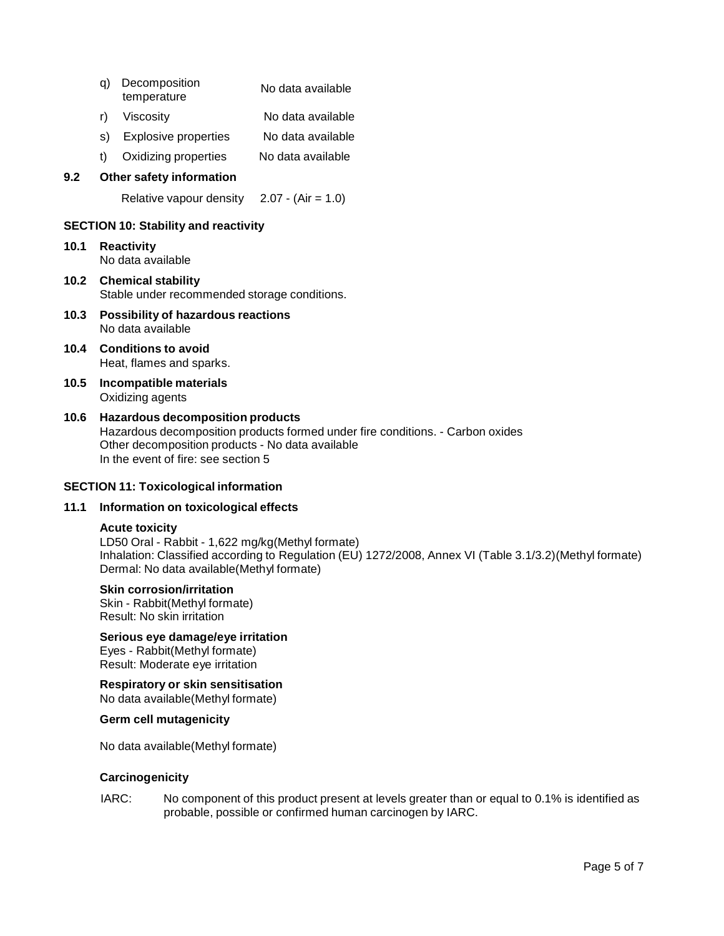- q) Decomposition temperature No data available
- r) Viscosity No data available
- s) Explosive properties No data available
- t) Oxidizing properties No data available

#### **9.2 Other safety information**

Relative vapour density  $2.07 - (Air = 1.0)$ 

#### **SECTION 10: Stability and reactivity**

- **10.1 Reactivity** No data available
- **10.2 Chemical stability** Stable under recommended storage conditions.
- **10.3 Possibility of hazardous reactions** No data available
- **10.4 Conditions to avoid** Heat, flames and sparks.
- **10.5 Incompatible materials** Oxidizing agents
- **10.6 Hazardous decomposition products** Hazardous decomposition products formed under fire conditions. - Carbon oxides Other decomposition products - No data available In the event of fire: see section 5

#### **SECTION 11: Toxicological information**

## **11.1 Information on toxicological effects**

## **Acute toxicity**

LD50 Oral - Rabbit - 1,622 mg/kg(Methyl formate) Inhalation: Classified according to Regulation (EU) 1272/2008, Annex VI (Table 3.1/3.2)(Methyl formate) Dermal: No data available(Methyl formate)

#### **Skin corrosion/irritation**

Skin - Rabbit(Methyl formate) Result: No skin irritation

**Serious eye damage/eye irritation** Eyes - Rabbit(Methyl formate) Result: Moderate eye irritation

**Respiratory orskin sensitisation** No data available(Methyl formate)

**Germ cell mutagenicity**

No data available(Methyl formate)

#### **Carcinogenicity**

IARC: No component of this product present at levels greater than or equal to 0.1% is identified as probable, possible or confirmed human carcinogen by IARC.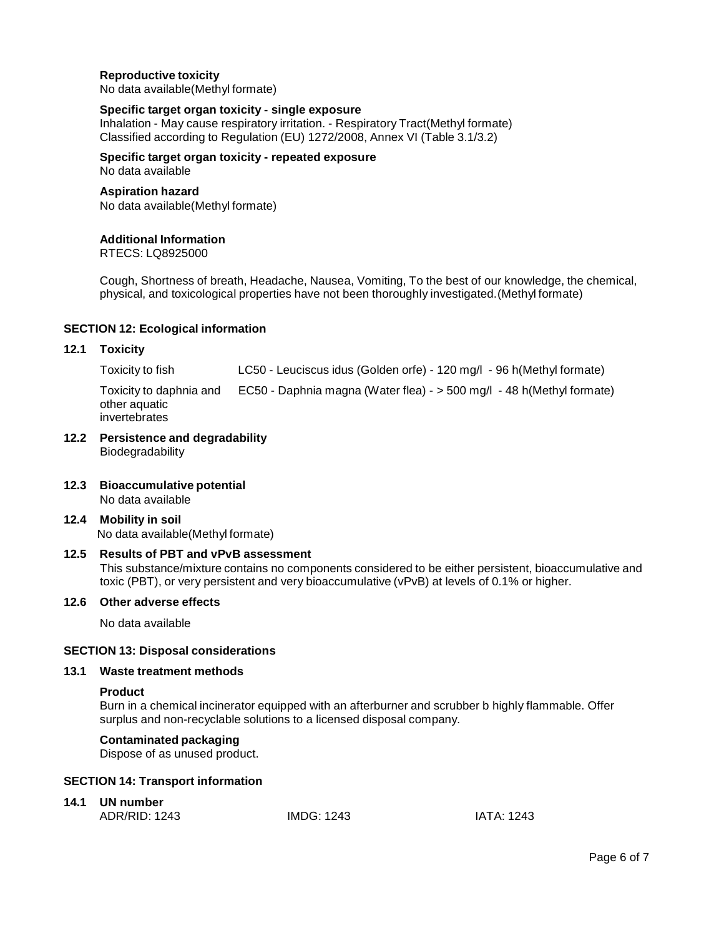## **Reproductive toxicity**

No data available(Methyl formate)

#### **Specific target organ toxicity - single exposure**

Inhalation - May cause respiratory irritation. - Respiratory Tract(Methyl formate) Classified according to Regulation (EU) 1272/2008, Annex VI (Table 3.1/3.2)

**Specific target organ toxicity - repeated exposure** No data available

# **Aspiration hazard**

No data available(Methyl formate)

#### **Additional Information**

RTECS: LQ8925000

Cough, Shortness of breath, Headache, Nausea, Vomiting, To the best of our knowledge, the chemical, physical, and toxicological properties have not been thoroughly investigated.(Methyl formate)

#### **SECTION 12: Ecological information**

#### **12.1 Toxicity**

Toxicity to fish LC50 - Leuciscus idus (Golden orfe) - 120 mg/l - 96 h(Methyl formate)

Toxicity to daphnia and other aquatic invertebrates EC50 - Daphnia magna (Water flea) - > 500 mg/l - 48 h(Methyl formate)

- **12.2 Persistence and degradability** Biodegradability
- **12.3 Bioaccumulative potential** No data available
- **12.4 Mobility in soil** No data available(Methyl formate)

## **12.5 Results of PBT and vPvB assessment**

This substance/mixture contains no components considered to be either persistent, bioaccumulative and toxic (PBT), or very persistent and very bioaccumulative (vPvB) at levels of 0.1% or higher.

#### **12.6 Other adverse effects**

No data available

#### **SECTION 13: Disposal considerations**

#### **13.1 Waste treatment methods**

#### **Product**

Burn in a chemical incinerator equipped with an afterburner and scrubber b highly flammable. Offer surplus and non-recyclable solutions to a licensed disposal company.

# **Contaminated packaging**

Dispose of as unused product.

## **SECTION 14: Transport information**

# **14.1 UN number**

| ADR/RID: 1243 | <b>IMDG: 1243</b> | IATA: 1243 |
|---------------|-------------------|------------|
|---------------|-------------------|------------|